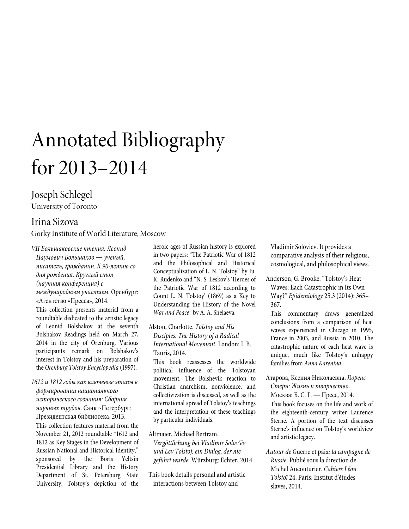# Annotated Bibliography for 2013–2014

# Joseph Schlegel University of Toronto

## Irina Sizova

Gorky Institute of World Literature, Moscow

*VII Большаковские чтения: Леонид Наумович Большаков ― ученый, писатель, гражданин. К 90-летию со дня рождения. Круглый стол (научная конференция) с международным участием*. Оренбург: «Агентство «Пресса», 2014.

This collection presents material from a roundtable dedicated to the artistic legacy of Leonid Bolshakov at the seventh Bolshakov Readings held on March 27, 2014 in the city of Orenburg. Various participants remark on Bolshakov's interest in Tolstoy and his preparation of the *Orenburg Tolstoy Encyclopedia* (1997)*.*

*1612 и 1812 годы как ключевые этапы в формировании национального исторического сознания: Сборник научных трудов*. Санкт-Петербург: Президентская библиотека, 2013.

This collection features material from the November 21, 2012 roundtable "1612 and 1812 as Key Stages in the Development of Russian National and Historical Identity," sponsored by the Boris Yeltsin Presidential Library and the History Department of St. Petersburg State University. Tolstoy's depiction of the heroic ages of Russian history is explored in two papers: "The Patriotic War of 1812 and the Philosophical and Historical Conceptualization of L. N. Tolstoy" by Iu. K. Rudenko and "N. S. Leskov's 'Heroes of the Patriotic War of 1812 according to Count L. N. Tolstoy' (1869) as a Key to Understanding the History of the Novel *War and Peace*" by A. A. Shelaeva.

## Alston, Charlotte. *Tolstoy and His Disciples: The History of a Radical International Movement*. London: I. B. Tauris, 2014.

This book reassesses the worldwide political influence of the Tolstoyan movement. The Bolshevik reaction to Christian anarchism, nonviolence, and collectivization is discussed, as well as the international spread of Tolstoy's teachings and the interpretation of these teachings by particular individuals.

Altmaier, Michael Bertram.

*Vergöttlichung bei Vladimir Solov'ëv und Lev Tolstoj: ein Dialog, der nie geführt wurde*. Würzburg: Echter, 2014.

This book details personal and artistic interactions between Tolstoy and

Vladimir Soloviev. It provides a comparative analysis of their religious, cosmological, and philosophical views.

Anderson, G. Brooke. "Tolstoy's Heat Waves: Each Catastrophic in Its Own Way?" *Epidemiology* 25.3 (2014): 365– 367.

This commentary draws generalized conclusions from a comparison of heat waves experienced in Chicago in 1995, France in 2003, and Russia in 2010. The catastrophic nature of each heat wave is unique, much like Tolstoy's unhappy families from *Anna Karenina*.

Атарова, Ксения Николаевна. Л*оренс Стерн: Жизнь и творчество*. Москва: Б. С. Г. ― Пресс, 2014.

This book focuses on the life and work of the eighteenth-century writer Laurence Sterne. A portion of the text discusses Sterne's influence on Tolstoy's worldview and artistic legacy.

*Autour de* Guerre et paix*: la campagne de Russie*. Publié sous la direction de Michel Aucouturier. *Cahiers Léon Tolstoï* 24. Paris: Institut d'études slaves, 2014.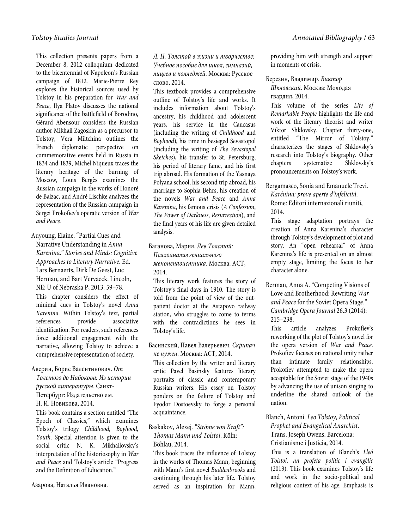This collection presents papers from a December 8, 2012 colloquium dedicated to the bicentennial of Napoleon's Russian campaign of 1812. Marie-Pierre Rey explores the historical sources used by Tolstoy in his preparation for *War and Peace*, Ilya Platov discusses the national significance of the battlefield of Borodino, Gérard Abensour considers the Russian author Mikhail Zagoskin as a precursor to Tolstoy, Vera Miltchina outlines the French diplomatic perspective on commemorative events held in Russia in 1834 and 1839, Michel Niqueux traces the literary heritage of the burning of Moscow, Louis Bergès examines the Russian campaign in the works of Honoré de Balzac, and André Lischke analyzes the representation of the Russian campaign in Sergei Prokofiev's operatic version of *War and Peace*.

Auyoung, Elaine. "Partial Cues and Narrative Understanding in *Anna Karenina*." *Stories and Minds: Cognitive Approaches to Literary Narrative*. Ed. Lars Bernaerts, Dirk De Geest, Luc Herman, and Bart Vervaeck. Lincoln, NE: U of Nebraska P, 2013. 59–78. This chapter considers the effect of minimal cues in Tolstoy's novel *Anna Karenina*. Within Tolstoy's text, partial references provide associative identification. For readers, such references force additional engagement with the narrative, allowing Tolstoy to achieve a comprehensive representation of society.

## Аверин, Борис Валентинович*. От Толстого до Набокова: Из истории русской литературы*. Санкт-

Петербург: Издательство им.

Н. И. Новикова, 2014.

This book contains a section entitled "The Epoch of Classics," which examines Tolstoy's trilogy *Childhood, Boyhood, Youth*. Special attention is given to the social critic N. K. Mikhailovsky's interpretation of the historiosophy in *War and Peace* and Tolstoy's article "Progress and the Definition of Education."

Азарова, Наталья Ивановна.

*Л. Н. Толстой в жизни и творчестве: Учебное пособие для школ, гимназий, лицеев и колледжей*. Москва: Русское слово, 2014.

This textbook provides a comprehensive outline of Tolstoy's life and works. It includes information about Tolstoy's ancestry, his childhood and adolescent years, his service in the Caucasus (including the writing of *Childhood* and *Boyhood*), his time in besieged Sevastopol (including the writing of *The Sevastopol Sketches*), his transfer to St. Petersburg, his period of literary fame, and his first trip abroad. His formation of the Yasnaya Polyana school, his second trip abroad, his marriage to Sophia Behrs, his creation of the novels *War and Peace* and *Anna Karenina*, his famous crisis (*A Confession*, *The Power of Darkness*, *Resurrection*), and the final years of his life are given detailed analysis.

Баганова, Мария. *Лев Толстой:* 

*Психоанализ гениального женоненавистника*. Москва: АСТ, 2014.

This literary work features the story of Tolstoy's final days in 1910. The story is told from the point of view of the outpatient doctor at the Astapovo railway station, who struggles to come to terms with the contradictions he sees in Tolstoy's life.

Басинский, Павел Валерьевич. *Скрипач не нужен*. Москва: АСТ, 2014.

This collection by the writer and literary critic Pavel Basinsky features literary portraits of classic and contemporary Russian writers. His essay on Tolstoy ponders on the failure of Tolstoy and Fyodor Dostoevsky to forge a personal acquaintance.

## Baskakov, Alexej. *"Ströme von Kraft": Thomas Mann und Tolstoi*. Köln: Böhlau, 2014.

This book traces the influence of Tolstoy in the works of Thomas Mann, beginning with Mann's first novel *Buddenbrooks* and continuing through his later life. Tolstoy served as an inspiration for Mann, providing him with strength and support in moments of crisis.

Березин, Владимир. *Виктор Шкловский*. Москва: Молодая

гвардия, 2014.

This volume of the series *Life of Remarkable People* highlights the life and work of the literary theorist and writer Viktor Shklovsky. Chapter thirty-one, entitled "The Mirror of Tolstoy," characterizes the stages of Shklovsky's research into Tolstoy's biography. Other chapters systematize Shklovsky's pronouncements on Tolstoy's work.

Bergamasco, Sonia and Emanuele Trevi. *Karénina: prove aperte d'infelicità*. Rome: Editori internazionali riuniti, 2014.

This stage adaptation portrays the creation of Anna Karenina's character through Tolstoy's development of plot and story. An "open rehearsal" of Anna Karenina's life is presented on an almost empty stage, limiting the focus to her character alone.

Berman, Anna A. "Competing Visions of Love and Brotherhood: Rewriting *War and Peace* for the Soviet Opera Stage." *Cambridge Opera Journal* 26.3 (2014): 215–238.

This article analyzes Prokofiev's reworking of the plot of Tolstoy's novel for the opera version of *War and Peace*. Prokofiev focuses on national unity rather than intimate family relationships. Prokofiev attempted to make the opera acceptable for the Soviet stage of the 1940s by advancing the use of unison singing to underline the shared outlook of the nation.

Blanch, Antoni. *Leo Tolstoy, Political Prophet and Evangelical Anarchist*. Trans. Joseph Owens. Barcelona: Cristianisme i Justicia, 2014.

This is a translation of Blanch's *Lleó Tolstoi, un profeta polític i evangèlic*  (2013). This book examines Tolstoy's life and work in the socio-political and religious context of his age. Emphasis is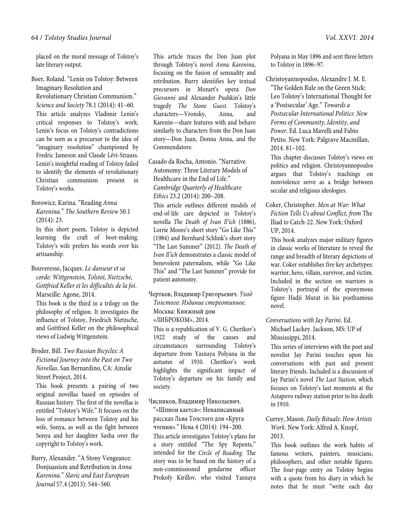placed on the moral message of Tolstoy's late literary output.

Boer, Roland. "Lenin on Tolstoy: Between Imaginary Resolution and

Revolutionary Christian Communism." *Science and Society* 78.1 (2014): 41–60. This article analyzes Vladimir Lenin's critical responses to Tolstoy's work. Lenin's focus on Tolstoy's contradictions can be seen as a precursor to the idea of "imaginary resolution" championed by Fredric Jameson and Claude Lévi-Strauss. Lenin's insightful reading of Tolstoy failed to identify the elements of revolutionary Christian communism present in Tolstoy's works.

Borowicz, Karina. "Reading *Anna Karenina*." *The Southern Review* 50.1 (2014): 23.

In this short poem, Tolstoy is depicted learning the craft of boot-making. Tolstoy's wife prefers his words over his artisanship.

Bouveresse, Jacques. *Le danseur et sa corde: Wittgenstein, Tolstoï, Nietzsche, Gottfried Keller et les difficultés de la foi*. Marseille: Agone, 2014.

This book is the third in a trilogy on the philosophy of religion. It investigates the influence of Tolstoy, Friedrich Nietzsche, and Gottfried Keller on the philosophical views of Ludwig Wittgenstein.

Broder, Bill. *Two Russian Bicycles: A Fictional Journey into the Past on Two Novellas*. San Bernardino, CA: Ainslie Street Project, 2014.

This book presents a pairing of two original novellas based on episodes of Russian history. The first of the novellas is entitled "Tolstoy's Wife." It focuses on the loss of romance between Tolstoy and his wife, Sonya, as well as the fight between Sonya and her daughter Sasha over the copyright to Tolstoy's work.

Burry, Alexander. "A Stony Vengeance: Donjuanism and Retribution in *Anna Karenina*." *Slavic and East European Journal* 57.4 (2013): 544–560.

This article traces the Don Juan plot through Tolstoy's novel *Anna Karenina*, focusing on the fusion of sensuality and retribution. Burry identifies key textual precursors in Mozart's opera *Don Giovanni* and Alexander Pushkin's little tragedy *The Stone Guest*. Tolstoy's characters—Vronsky, Anna, and Karenin—share features with and behave similarly to characters from the Don Juan story—Don Juan, Donna Anna, and the Commendatore.

Casado da Rocha, Antonio. "Narrative Autonomy: Three Literary Models of Healthcare in the End of Life." *Cambridge Quarterly of Healthcare Ethics* 23.2 (2014): 200–208.

This article outlines different models of end-of-life care depicted in Tolstoy's novella *The Death of Ivan Il'ich* (1886), Lorrie Moore's short story "Go Like This" (1984) and Bernhard Schlink's short story "The Last Summer" (2012). *The Death of Ivan Il'ich* demonstrates a classic model of benevolent paternalism, while "Go Like This" and "The Last Summer" provide for patient autonomy.

Чертков, Владимир Григорьевич. *Уход Толстого: Издание стереотипное*. Москва: Книжный дом

«ЛИБРОКОМ», 2014.

This is a republication of V. G. Chertkov's 1922 study of the causes and circumstances surrounding Tolstoy's departure from Yasnaya Polyana in the autumn of 1910. Chertkov's work highlights the significant impact of Tolstoy's departure on his family and society.

Чисников, Владимир Николаевич.

"«Шпион кается»: Ненаписанный рассказ Льва Толстого для «Круга чтения»." Нева 4 (2014): 194–200. This article investigates Tolstoy's plans for a story entitled "The Spy Repents," intended for the *Circle of Reading*. The story was to be based on the history of a non-commissioned gendarme officer Prokofy Kirillov, who visited Yasnaya Polyana in May 1896 and sent three letters to Tolstoy in 1896–97.

Christoyannopoulos, Alexandre J. M. E. "The Golden Rule on the Green Stick:

Leo Tolstoy's International Thought for a 'Postsecular' Age." *Towards a Postsecular International Politics: New Forms of Community, Identity, and Power*. Ed. Luca Mavelli and Fabio Petito. New York: Palgrave Macmillan, 2014. 81–102.

This chapter discusses Tolstoy's views on politics and religion. Christoyannopoulos argues that Tolstoy's teachings on nonviolence serve as a bridge between secular and religious ideologies.

Coker, Christopher. *Men at War: What Fiction Tells Us about Conflict, from* The Iliad *to* Catch-22. New York: Oxford UP, 2014.

This book analyzes major military figures in classic works of literature to reveal the range and breadth of literary depictions of war. Coker establishes five key archetypes: warrior, hero, villain, survivor, and victim. Included in the section on warriors is Tolstoy's portrayal of the eponymous figure Hadji Murat in his posthumous novel.

*Conversations with Jay Parini*. Ed.

Michael Lackey. Jackson, MS: UP of Mississippi, 2014.

This series of interviews with the poet and novelist Jay Parini touches upon his conversations with past and present literary friends. Included is a discussion of Jay Parini's novel *The Last Station*, which focuses on Tolstoy's last moments at the Astapovo railway station prior to his death in 1910.

Currey, Mason. *Daily Rituals: How Artists Work*. New York: Alfred A. Knopf, 2013.

This book outlines the work habits of famous writers, painters, musicians, philosophers, and other notable figures. The four-page entry on Tolstoy begins with a quote from his diary in which he notes that he must "write each day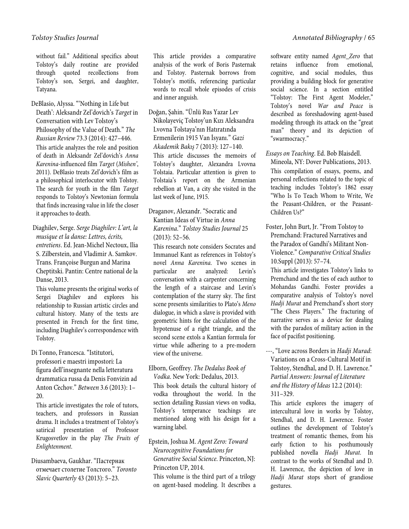without fail." Additional specifics about Tolstoy's daily routine are provided through quoted recollections from Tolstoy's son, Sergei, and daughter, Tatyana.

DeBlasio, Alyssa. "'Nothing in Life but Death': Aleksandr Zel'dovich's *Target* in Conversation with Lev Tolstoy's Philosophy of the Value of Death." *The Russian Review* 73.3 (2014): 427–446. This article analyzes the role and position of death in Aleksandr Zel'dovich's *Anna Karenina*-influenced film *Target* (*Mishen'*, 2011). DeBlasio treats Zel'dovich's film as a philosophical interlocutor with Tolstoy. The search for youth in the film *Target*  responds to Tolstoy's Newtonian formula that finds increasing value in life the closer it approaches to death.

 Diaghilev, Serge. *Serge Diaghilev: L'art, la musique et la danse: Lettres, écrits, entretiens*. Ed. Jean-Michel Nectoux, Ilia S. Zilberstein, and Vladimir A. Samkov. Trans. Françoise Burgun and Marina Cheptitski. Pantin: Centre national de la Danse, 2013.

This volume presents the original works of Sergei Diaghilev and explores his relationship to Russian artistic circles and cultural history. Many of the texts are presented in French for the first time, including Diaghilev's correspondence with Tolstoy.

Di Tonno, Francesca. "Istitutori,

professori e maestri impostori: La figura dell'insegnante nella letteratura drammatica russa da Denis Fonvizin ad Anton Čechov." *Between* 3.6 (2013): 1– 20.

This article investigates the role of tutors, teachers, and professors in Russian drama. It includes a treatment of Tolstoy's satirical presentation of Professor Krugosvetlov in the play *The Fruits of Enlightenment*.

Diusambaeva, Gaukhar. "Пастернак отмечает столетие Толстого." *Toronto Slavic Quarterly* 43 (2013): 5–23.

This article provides a comparative analysis of the work of Boris Pasternak and Tolstoy. Pasternak borrows from Tolstoy's motifs, referencing particular words to recall whole episodes of crisis and inner anguish.

Doğan, Şahin. "Ünlü Rus Yazar Lev Nikolayeviç Tolstoy'un Kızı Aleksandra Lvovna Tolstaya'nın Hatıratında Ermenilerin 1915 Van İsyanı." *Gazi Akademik Bakış* 7 (2013): 127–140. This article discusses the memoirs of Tolstoy's daughter, Alexandra Lvovna Tolstaia. Particular attention is given to Tolstaia's report on the Armenian rebellion at Van, a city she visited in the last week of June, 1915.

## Draganov, Alexandr. "Socratic and Kantian Ideas of Virtue in *Anna Karenina*." *Tolstoy Studies Journal* 25 (2013): 52–56.

This research note considers Socrates and Immanuel Kant as references in Tolstoy's novel *Anna Karenina*. Two scenes in particular are analyzed: Levin's conversation with a carpenter concerning the length of a staircase and Levin's contemplation of the starry sky. The first scene presents similarities to Plato's *Meno* dialogue, in which a slave is provided with geometric hints for the calculation of the hypotenuse of a right triangle, and the second scene extols a Kantian formula for virtue while adhering to a pre-modern view of the universe.

Elborn, Geoffrey. *The Dedalus Book of Vodka*. New York: Dedalus, 2013.

This book details the cultural history of vodka throughout the world. In the section detailing Russian views on vodka, Tolstoy's temperance teachings are mentioned along with his design for a warning label.

Epstein, Joshua M. *Agent Zero: Toward Neurocognitive Foundations for Generative Social Science*. Princeton, NJ: Princeton UP, 2014.

This volume is the third part of a trilogy on agent-based modeling. It describes a software entity named *Agent\_Zero* that retains influence from emotional, cognitive, and social modules, thus providing a building block for generative social science. In a section entitled "Tolstoy: The First Agent Modeler," Tolstoy's novel *War and Peace* is described as foreshadowing agent-based modeling through its attack on the "great man" theory and its depiction of "swarmocracy."

*Essays on Teaching*. Ed. Bob Blaisdell.

Mineola, NY: Dover Publications, 2013. This compilation of essays, poems, and personal reflections related to the topic of teaching includes Tolstoy's 1862 essay "Who Is To Teach Whom to Write, We the Peasant-Children, or the Peasant-Children Us?"

Foster, John Burt, Jr. "From Tolstoy to Premchand: Fractured Narratives and the Paradox of Gandhi's Militant Non-Violence." *Comparative Critical Studies*  10.Suppl (2013): 57–74.

This article investigates Tolstoy's links to Premchand and the ties of each author to Mohandas Gandhi. Foster provides a comparative analysis of Tolstoy's novel *Hadji Murat* and Premchand's short story "The Chess Players." The fracturing of narrative serves as a device for dealing with the paradox of military action in the face of pacifist positioning.

---, "Love across Borders in *Hadji Murad*: Variations on a Cross-Cultural Motif in Tolstoy, Stendhal, and D. H. Lawrence." *Partial Answers: Journal of Literature and the History of Ideas* 12.2 (2014): 311–329.

This article explores the imagery of intercultural love in works by Tolstoy, Stendhal, and D. H. Lawrence. Foster outlines the development of Tolstoy's treatment of romantic themes, from his early fiction to his posthumously published novella *Hadji Murat*. In contrast to the works of Stendhal and D. H. Lawrence, the depiction of love in *Hadji Murat* stops short of grandiose gestures.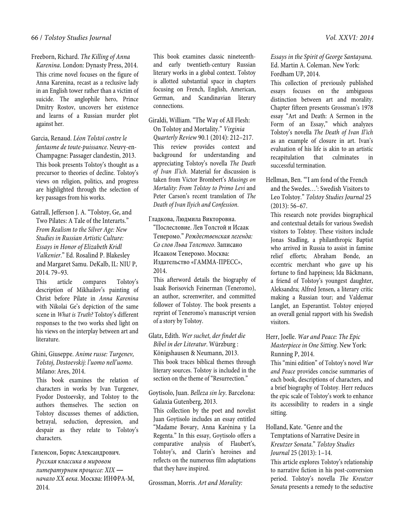## 66 / *Tolstoy Studies Journal Vol. XXVI: 2014*

#### Freeborn, Richard. *The Killing of Anna*

*Karenina*. London: Dynasty Press, 2014. This crime novel focuses on the figure of Anna Karenina, recast as a reclusive lady in an English tower rather than a victim of suicide. The anglophile hero, Prince Dmitry Rostov, uncovers her existence and learns of a Russian murder plot against her.

Garcia, Renaud. *Léon Tolstoï contre le fantasme de toute-puissance*. Neuvy-en-Champagne: Passager clandestin, 2013. This book presents Tolstoy's thought as a precursor to theories of decline. Tolstoy's views on religion, politics, and progress are highlighted through the selection of key passages from his works.

Gatrall, Jefferson J. A. "Tolstoy, Ge, and Two Pilates: A Tale of the Interarts." *From Realism to the Silver Age: New Studies in Russian Artistic Culture: Essays in Honor of Elizabeth Kridl Valkenier*." Ed. Rosalind P. Blakesley and Margaret Samu. DeKalb, IL: NIU P, 2014. 79–93.

This article compares Tolstoy's description of Mikhailov's painting of Christ before Pilate in *Anna Karenina* with Nikolai Ge's depiction of the same scene in *What is Truth?* Tolstoy's different responses to the two works shed light on his views on the interplay between art and literature.

Ghini, Giuseppe. *Anime russe: Turgenev, Tolstoj, Dostoevskij: l'uomo nell'uomo*. Milano: Ares, 2014.

This book examines the relation of characters in works by Ivan Turgenev, Fyodor Dostoevsky, and Tolstoy to the authors themselves. The section on Tolstoy discusses themes of addiction, betrayal, seduction, depression, and despair as they relate to Tolstoy's characters.

Гиленсон, Борис Александрович. *Русская классика в мировом литературном процессе: XIX ― начало XX века*. Москва: ИНФРА-М, 2014.

This book examines classic nineteenthand early twentieth-century Russian literary works in a global context. Tolstoy is allotted substantial space in chapters focusing on French, English, American, German, and Scandinavian literary connections.

Giraldi, William. "The Way of All Flesh: On Tolstoy and Mortality." *Virginia Quarterly Review* 90.1 (2014): 212–217. This review provides context and background for understanding and appreciating Tolstoy's novella *The Death of Ivan Il'ich*. Material for discussion is taken from Victor Brombert's *Musings on Mortality: From Tolstoy to Primo Levi* and Peter Carson's recent translation of *The Death of Ivan Ilyich and Confession*.

Гладкова, Людмила Викторовна. "Послесловие. Лев Толстой и Исаак Тенеромо." *Рождественская легенда: Со слов Льва Толстого*. Записано Исааком Тенеромо. Москва: Издательство «ГАММА-ПРЕСС», 2014.

This afterword details the biography of Isaak Borisovich Feinerman (Teneromo), an author, screenwriter, and committed follower of Tolstoy. The book presents a reprint of Teneromo's manuscript version of a story by Tolstoy.

Glatz, Edith. *Wer suchet, der findet die Bibel in der Literatur*. Würzburg : Königshausen & Neumann, 2013. This book traces biblical themes through literary sources. Tolstoy is included in the section on the theme of "Resurrection."

Goytisolo, Juan. *Belleza sin ley*. Barcelona: Galaxia Gutenberg, 2013.

This collection by the poet and novelist Juan Goytisolo includes an essay entitled "Madame Bovary, Anna Karénina y La Regenta." In this essay, Goytisolo offers a comparative analysis of Flaubert's, Tolstoy's, and Clarín's heroines and reflects on the numerous film adaptations that they have inspired.

Grossman, Morris. *Art and Morality:* 

*Essays in the Spirit of George Santayana*. Ed. Martin A. Coleman. New York: Fordham UP, 2014.

This collection of previously published essays focuses on the ambiguous distinction between art and morality. Chapter fifteen presents Grossman's 1978 essay "Art and Death: A Sermon in the Form of an Essay," which analyzes Tolstoy's novella *The Death of Ivan Il'ich*  as an example of closure in art. Ivan's evaluation of his life is akin to an artistic recapitulation that culminates in successful termination.

Hellman, Ben. "'I am fond of the French and the Swedes…': Swedish Visitors to Leo Tolstoy." *Tolstoy Studies Journal* 25 (2013): 56–67.

This research note provides biographical and contextual details for various Swedish visitors to Tolstoy. These visitors include Jonas Stadling, a philanthropic Baptist who arrived in Russia to assist in famine relief efforts; Abraham Bonde, an eccentric merchant who gave up his fortune to find happiness; Ida Bäckmann, a friend of Tolstoy's youngest daughter, Aleksandra; Alfred Jensen, a literary critic making a Russian tour; and Valdemar Langlet, an Esperantist. Tolstoy enjoyed an overall genial rapport with his Swedish visitors.

Herr, Joelle. *War and Peace: The Epic Masterpiece in One Sitting*. New York: Running P, 2014.

This "mini edition" of Tolstoy's novel *War and Peace* provides concise summaries of each book, descriptions of characters, and a brief biography of Tolstoy. Herr reduces the epic scale of Tolstoy's work to enhance its accessibility to readers in a single sitting.

Holland, Kate. "Genre and the Temptations of Narrative Desire in *Kreutzer Sonata*." *Tolstoy Studies Journal* 25 (2013): 1–14.

This article explores Tolstoy's relationship to narrative fiction in his post-conversion period. Tolstoy's novella *The Kreutzer Sonata* presents a remedy to the seductive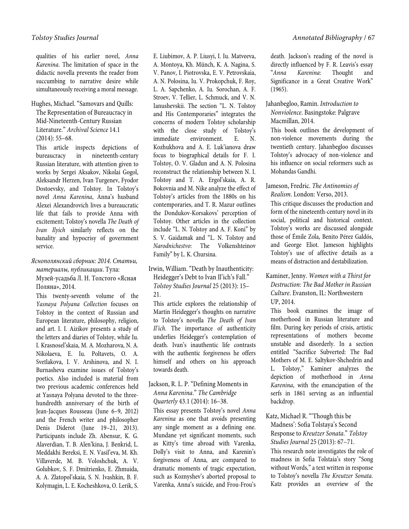qualities of his earlier novel, *Anna Karenina*. The limitation of space in the didactic novella prevents the reader from succumbing to narrative desire while simultaneously receiving a moral message.

Hughes, Michael. "Samovars and Quills: The Representation of Bureaucracy in Mid-Nineteenth-Century Russian Literature." *Archival Science* 14.1 (2014): 55–68.

This article inspects depictions of bureaucracy in nineteenth-century Russian literature, with attention given to works by Sergei Aksakov, Nikolai Gogol, Aleksandr Herzen, Ivan Turgenev, Fyodor Dostoevsky, and Tolstoy. In Tolstoy's novel *Anna Karenina*, Anna's husband Alexei Alexandrovich lives a bureaucratic life that fails to provide Anna with excitement; Tolstoy's novella *The Death of Ivan Ilyich* similarly reflects on the banality and hypocrisy of government service.

*Яснополянский сборник: 2014*. *Статьи, материалы, публикации*. Тула: Музей-усадьба Л. Н. Толстого «Ясная Поляна», 2014.

This twenty-seventh volume of the *Yasnaya Polyana Collection* focuses on Tolstoy in the context of Russian and European literature, philosophy, religion, and art. I. I. Aizikov presents a study of the letters and diaries of Tolstoy, while Iu. I. Krasnosel'skaia, M. A. Mozharova, N. A. Nikolaeva, E. Iu. Poltavets, O. A. Svetlakova, I. V. Arshinova, and N. I. Burnasheva examine issues of Tolstoy's poetics. Also included is material from two previous academic conferences held at Yasnaya Polyana devoted to the threehundredth anniversary of the birth of Jean-Jacques Rousseau (June 6–9, 2012) and the French writer and philosopher Denis Diderot (June 19–21, 2013). Participants include Zh. Abensur, K. G. Alaverdian, T. B. Alen'kina, J. Benkrid, L. Meddakhi Bereksi, E. N. Vasil'eva, M. Kh. Villaverde, M. B. Voloshchuk, A. V. Golubkov, S. F. Dmitrienko, E. Zhmuida, A. A. Zlatopol'skaia, S. N. Ivashkin, B. F. Kolymagin, L. E. Kocheshkova, O. Lerik, S. E. Liubimov, A. P. Liusyi, I. Iu. Matveeva, A. Montoya, Kh. Münch, K. A. Nagina, S. V. Panov, I. Piotrovska, E. V. Petrovskaia, A. N. Polosina, Iu. V. Prokopchuk, F. Roy, L. A. Sapchenko, A. Iu. Sorochan, A. F. Stroev, V. Tellier, L. Sсhmuсk, and V. N. Ianushevskii. The section "L. N. Tolstoy and His Contemporaries" integrates the concerns of modern Tolstoy scholarship with the close study of Tolstoy's immediate environment. E. N. Kozhukhova and A. E. Luk'ianova draw focus to biographical details for F. I. Tolstoy, O. V. Gladun and A. N. Polosina reconstruct the relationship between N. I. Tolstoy and T. A. Ergol'skaia, A. R. Bokovnia and M. Nike analyze the effect of Tolstoy's articles from the 1880s on his contemporaries, and T. R. Mazur outlines the Dondukov-Korsakovs' perception of Tolstoy. Other articles in the collection include "L. N. Tolstoy and A. F. Koni" by S. V. Gaidamak and "L. N. Tolstoy and *Narodnichestvo*: The Volkenshteinov Family" by L. K. Chursina.

Irwin, William. "Death by Inauthenticity: Heidegger's Debt to Ivan Il'ich's Fall." *Tolstoy Studies Journal* 25 (2013): 15– 21.

This article explores the relationship of Martin Heidegger's thoughts on narrative to Tolstoy's novella *The Death of Ivan Il'ich*. The importance of authenticity underlies Heidegger's contemplation of death. Ivan's inauthentic life contrasts with the authentic forgiveness he offers himself and others on his approach towards death.

#### Jackson, R. L. P. "Defining Moments in *Anna Karenina*." *The Cambridge Quarterly* 43.1 (2014): 16–38.

This essay presents Tolstoy's novel *Anna Karenina* as one that avoids presenting any single moment as a defining one. Mundane yet significant moments, such as Kitty's time abroad with Varenka, Dolly's visit to Anna, and Karenin's forgiveness of Anna, are compared to dramatic moments of tragic expectation, such as Koznyshev's aborted proposal to Varenka, Anna's suicide, and Frou-Frou's death. Jackson's reading of the novel is directly influenced by F. R. Leavis's essay "*Anna Karenina*: Thought and Significance in a Great Creative Work" (1965).

## Jahanbegloo, Ramin. *Introduction to Nonviolence*. Basingstoke: Palgrave Macmillan, 2014.

This book outlines the development of non-violence movements during the twentieth century. Jahanbegloo discusses Tolstoy's advocacy of non-violence and his influence on social reformers such as Mohandas Gandhi.

Jameson, Fredric. *The Antinomies of Realism*. London: Verso, 2013.

This critique discusses the production and form of the nineteenth-century novel in its social, political and historical context. Tolstoy's works are discussed alongside those of Émile Zola, Benito Pérez Galdós, and George Eliot. Jameson highlights Tolstoy's use of affective details as a means of distraction and destabilization.

## Kaminer, Jenny. *Women with a Thirst for Destruction: The Bad Mother in Russian Culture*. Evanston, IL: Northwestern UP, 2014.

This book examines the image of motherhood in Russian literature and film. During key periods of crisis, artistic representations of mothers become unstable and disorderly. In a section entitled "Sacrifice Subverted: The Bad Mothers of M. E. Saltykov-Shchedrin and L. Tolstoy," Kaminer analyzes the depiction of motherhood in *Anna Karenina*, with the emancipation of the serfs in 1861 serving as an influential backdrop.

Katz, Michael R. "'Though this be Madness': Sofia Tolstaya's Second Response to *Kreutzer Sonata*." *Tolstoy Studies Journal* 25 (2013): 67–71. This research note investigates the role of madness in Sofia Tolstaia's story "Song without Words," a text written in response to Tolstoy's novella *The Kreutzer Sonata*. Katz provides an overview of the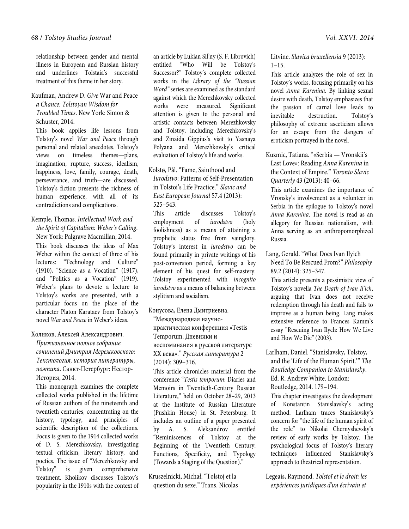relationship between gender and mental illness in European and Russian history and underlines Tolstaia's successful treatment of this theme in her story.

Kaufman, Andrew D. *Give* War and Peace *a Chance: Tolstoyan Wisdom for Troubled Times*. New York: Simon & Schuster, 2014.

This book applies life lessons from Tolstoy's novel *War and Peace* through personal and related anecdotes. Tolstoy's views on timeless themes—plans, imagination, rupture, success, idealism, happiness, love, family, courage, death, perseverance, and truth—are discussed. Tolstoy's fiction presents the richness of human experience, with all of its contradictions and complications.

Kemple, Thomas. *Intellectual Work and the Spirit of Capitalism: Weber's Calling*. New York: Palgrave Macmillan, 2014. This book discusses the ideas of Max Weber within the context of three of his lectures: "Technology and Culture" (1910), "Science as a Vocation" (1917), and "Politics as a Vocation" (1919). Weber's plans to devote a lecture to Tolstoy's works are presented, with a particular focus on the place of the character Platon Karataev from Tolstoy's novel *War and Peace* in Weber's ideas.

Холиков, Алексей Александрович.

*Прижизненное полное собрание сочинений Дмитрия Мережковского: Текстология, история литературы, поэтика*. Санкт-Петербург: Нестор-История, 2014.

This monograph examines the complete collected works published in the lifetime of Russian authors of the nineteenth and twentieth centuries, concentrating on the history, typology, and principles of scientific description of the collections. Focus is given to the 1914 collected works of D. S. Merezhkovsky, investigating textual criticism, literary history, and poetics. The issue of "Merezhkovsky and Tolstoy" is given comprehensive treatment. Kholikov discusses Tolstoy's popularity in the 1910s with the context of

an article by Lukian Sil'ny (S. F. Librovich) entitled "Who Will be Tolstoy's Successor?" Tolstoy's complete collected works in the *Library of the "Russian Word"* series are examined as the standard against which the Merezhkovsky collected works were measured. Significant attention is given to the personal and artistic contacts between Merezhkovsky and Tolstoy, including Merezhkovsky's and Zinaida Gippius's visit to Yasnaya Polyana and Merezhkovsky's critical evaluation of Tolstoy's life and works.

Kolstø, Pål. "Fame, Sainthood and *Iurodstvo*: Patterns of Self-Presentation in Tolstoi's Life Practice." *Slavic and East European Journal* 57.4 (2013): 525–543.

This article discusses Tolstoy's employment of *iurodstvo* (holy foolishness) as a means of attaining a prophetic status free from vainglory. Tolstoy's interest in *iurodstvo* can be found primarily in private writings of his post-conversion period, forming a key element of his quest for self-mastery. Tolstoy experimented with *incognito iurodstvo* as a means of balancing between stylitism and socialism.

Конусова, Елена Дмитриевна.

"Международная научнопрактическая конференция «Testis Temporum. Дневники и воспоминания в русской литературе XX века»." *Русская литература* 2 (2014): 309–316.

This article chronicles material from the conference "*Testis temporum*: Diaries and Memoirs in Twentieth-Century Russian Literature," held on October 28–29, 2013 at the Institute of Russian Literature (Pushkin House) in St. Petersburg. It includes an outline of a paper presented by A. S. Aleksandrov entitled "Reminiscences of Tolstoy at the Beginning of the Twentieth Century: Functions, Specificity, and Typology (Towards a Staging of the Question)."

Kruszelnicki, Michał. "Tolstoj et la question du sexe." Trans. Nicolas Litvine. *Slavica bruxellensia* 9 (2013):  $1 - 15$ .

This article analyzes the role of sex in Tolstoy's works, focusing primarily on his novel *Anna Karenina*. By linking sexual desire with death, Tolstoy emphasizes that the passion of carnal love leads to inevitable destruction. Tolstoy's philosophy of extreme asceticism allows for an escape from the dangers of eroticism portrayed in the novel.

Kuzmic, Tatiana. "«Serbia — Vronskii's Last Love»: Reading *Anna Karenina* in the Context of Empire." *Toronto Slavic Quarterly* 43 (2013): 40–66.

This article examines the importance of Vronsky's involvement as a volunteer in Serbia in the epilogue to Tolstoy's novel *Anna Karenina*. The novel is read as an allegory for Russian nationalism, with Anna serving as an anthropomorphized Russia.

Lang, Gerald. "What Does Ivan Ilyich Need To Be Rescued From?" *Philosophy* 89.2 (2014): 325–347.

This article presents a pessimistic view of Tolstoy's novella *The Death of Ivan Il'ich*, arguing that Ivan does not receive redemption through his death and fails to improve as a human being. Lang makes extensive reference to Frances Kamm's essay "Rescuing Ivan Ilych: How We Live and How We Die" (2003).

Larlham, Daniel. "Stanislavsky, Tolstoy, and the 'Life of the Human Spirit.'" *The Routledge Companion to Stanislavsky*. Ed. R. Andrew White. London: Routledge, 2014. 179–194.

This chapter investigates the development of Konstantin Stanislavsky's acting method. Larlham traces Stanislavsky's concern for "the life of the human spirit of the role" to Nikolai Chernyshevsky's review of early works by Tolstoy. The psychological focus of Tolstoy's literary techniques influenced Stanislavsky's approach to theatrical representation.

Legeais, Raymond. *Tolstoï et le droit: les expériences juridiques d'un écrivain et*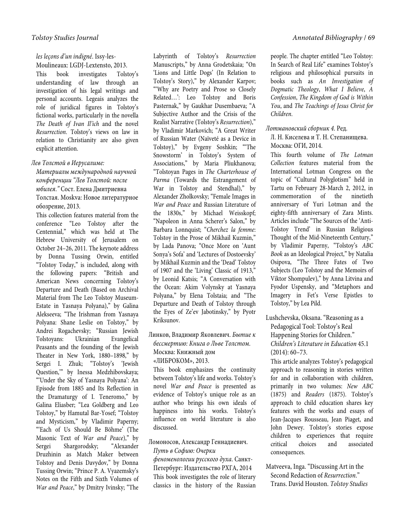## *les leçons d'un indigné*. Issy-les-

Moulineaux: LGDJ-Lextensto, 2013.

This book investigates Tolstoy's understanding of law through an investigation of his legal writings and personal accounts. Legeais analyzes the role of juridical figures in Tolstoy's fictional works, particularly in the novella *The Death of Ivan Il'ich* and the novel *Resurrection*. Tolstoy's views on law in relation to Christianity are also given explicit attention.

## *Лев Толстой в Иерусалиме:*

*Материалы международной научной конференции "Лев Толстой: после юбилея*.*"* Сост. Елена Дмитриевна Толстая. Moskva: Новое литературное обозрение, 2013.

This collection features material from the conference "Leo Tolstoy after the Centennial," which was held at The Hebrew University of Jerusalem on October 24–26, 2011. The keynote address by Donna Tussing Orwin, entitled "Tolstoy Today," is included, along with the following papers: "British and American News concerning Tolstoy's Departure and Death (Based on Archival Material from The Leo Tolstoy Museum-Estate in Yasnaya Polyana)," by Galina Alekseeva; "The Irishman from Yasnaya Polyana: Shane Leslie on Tolstoy," by Andrei Rogachevsky; "Russian Jewish Tolstoyans: Ukrainian Evangelical Peasants and the founding of the Jewish Theater in New York, 1880–1898," by Sergei I. Zhuk; "Tolstoy's 'Jewish Question,'" by Inessa Medzhibovskaya; "'Under the Sky of Yasnaya Polyana': An Episode from 1885 and Its Reflection in the Dramaturgy of I. Teneromo," by Galina Eliasber; "Lea Goldberg and Leo Tolstoy," by Hamutal Bar-Yosef; "Tolstoy and Mysticism," by Vladimir Paperny; "'Each of Us Should Be Böhme' (The Masonic Text of *War and Peace*)," by Sergei Shargorodsky; "Alexander Druzhinin as Match Maker between Tolstoy and Denis Davydov," by Donna Tussing Orwin; "Prince P. A. Vyazemsky's Notes on the Fifth and Sixth Volumes of *War and Peace*," by Dmitry Ivinsky; "The

Labyrinth of Tolstoy's *Resurrection*  Manuscripts," by Anna Grodetskaia; "On 'Lions and Little Dogs' (In Relation to Tolstoy's Story)," by Alexander Karpov; "'Why are Poetry and Prose so Closely Related…': Leo Tolstoy and Boris Pasternak," by Gaukhar Dusembaeva; "A Subjective Author and the Crisis of the Realist Narrative (Tolstoy's *Resurrection*)," by Vladimir Markovich; "A Great Writer of Russian Water (Naïveté as a Device in Tolstoy)," by Evgeny Soshkin; "'The Snowstorm' in Tolstoy's System of Associations," by Maria Pliukhanova; "Tolstoyan Pages in *The Charterhouse of Parma* (Towards the Estrangement of War in Tolstoy and Stendhal)," by Alexander Zholkovsky; "Female Images in *War and Peace* and Russian Literature of the 1830s," by Michael Weisskopf; "Napoleon in Anna Scherer's Salon," by Barbara Lonnquist; "*Сherchez la femme*: Tolstoy in the Prose of Mikhail Kuzmin," by Lada Panova; "Once More on 'Aunt Sonya's Sofa' and 'Lectures of Dostoevsky' by Mikhail Kuzmin and the 'Dead' Tolstoy of 1907 and the 'Living' Classic of 1913," by Leonid Katsis; "A Conversation with the Ocean: Akim Volynsky at Yasnaya Polyana," by Elena Tolstaia; and "The Departure and Death of Tolstoy through the Eyes of Ze'ev Jabotinsky," by Pyotr Kriksunov.

## Линков, Владимир Яковлевич. *Бытие к бессмертию: Книга о Льве Толстом*. Москва: Книжный дом «ЛИБРОКОМ», 2013.

This book emphasizes the continuity between Tolstoy's life and works. Tolstoy's novel *War and Peace* is presented as evidence of Tolstoy's unique role as an author who brings his own ideals of happiness into his works. Tolstoy's influence on world literature is also discussed.

Ломоносов, Александр Геннадиевич.

## *Путь в Софию: Очерки*

*феноменологии русского духа*. Санкт-Петербург: Издательство РХГА, 2014 This book investigates the role of literary classics in the history of the Russian people. The chapter entitled "Leo Tolstoy: In Search of Real Life" examines Tolstoy's religious and philosophical pursuits in books such as *An Investigation of Dogmatic Theology*, *What I Believe*, *A Confession*, *The Kingdom of God is Within You*, and *The Teachings of Jesus Christ for Children*.

## *Лотмановский сборник 4*. Ред.

Л. Н. Киселева и Т. Н. Степанищева. Москва: ОГИ, 2014.

This fourth volume of *The Lotman Collection* features material from the International Lotman Congress on the topic of "Cultural Polyglotism" held in Tartu on February 28-March 2, 2012, in commemoration of the ninetieth anniversary of Yuri Lotman and the eighty-fifth anniversary of Zara Mints. Articles include "The Sources of the 'Anti-Tolstoy Trend' in Russian Religious Thought of the Mid-Nineteenth Century," by Vladimir Paperny, "Tolstoy's *ABC Book* as an Ideological Project," by Natalia Osipova, "The Three Fates of Two Subjects (Leo Tolstoy and the Memoirs of Viktor Shompulev)," by Anna Litvina and Fyodor Uspensky, and "Metaphors and Imagery in Fet's Verse Epistles to Tolstoy," by Lea Pild.

Lushchevska, Oksana. "Reasoning as a Pedagogical Tool: Tolstoy's Real Happening Stories for Children." *Children's Literature in Education* 45.1 (2014): 60–73.

This article analyzes Tolstoy's pedagogical approach to reasoning in stories written for and in collaboration with children, primarily in two volumes: *New ABC*  (1875) and *Readers* (1875). Tolstoy's approach to child education shares key features with the works and essays of Jean-Jacques Rousseau, Jean Piaget, and John Dewey. Tolstoy's stories expose children to experiences that require critical choices and associated consequences.

Matveeva, Inga. "Discussing Art in the Second Redaction of *Resurrection*." Trans. David Houston. *Tolstoy Studies*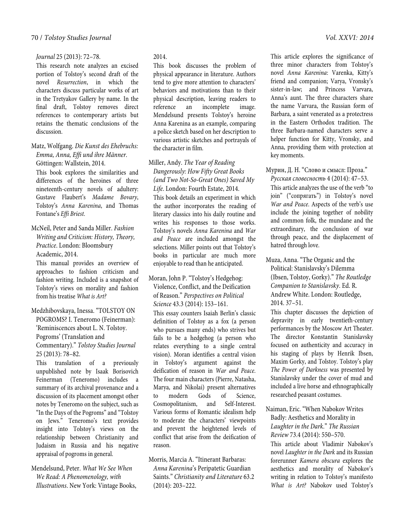#### 70 / *Tolstoy Studies Journal Vol. XXVI: 2014*

#### *Journal* 25 (2013): 72–78.

This research note analyzes an excised portion of Tolstoy's second draft of the novel *Resurrection*, in which the characters discuss particular works of art in the Tretyakov Gallery by name. In the final draft, Tolstoy removes direct references to contemporary artists but retains the thematic conclusions of the discussion.

Matz, Wolfgang. *Die Kunst des Ehebruchs: Emma, Anna, Effi und ihre Männer*. Göttingen: Wallstein, 2014.

This book explores the similarities and differences of the heroines of three nineteenth-century novels of adultery: Gustave Flaubert's *Madame Bovary*, Tolstoy's *Anna Karenina*, and Thomas Fontane's *Effi Briest*.

McNeil, Peter and Sanda Miller. *Fashion Writing and Criticism: History, Theory, Practice*. London: Bloomsbury Academic, 2014.

This manual provides an overview of approaches to fashion criticism and fashion writing. Included is a snapshot of Tolstoy's views on morality and fashion from his treatise *What is Art?*

Medzhibovskaya, Inessa. "TOLSTOY ON POGROMS? I. Teneromo (Feinerman): 'Reminiscences about L. N. Tolstoy. Pogroms' (Translation and Commentary)." *Tolstoy Studies Journal* 25 (2013): 78–82.

This translation of a previously unpublished note by Isaak Borisovich Feinerman (Teneromo) includes a summary of its archival provenance and a discussion of its placement amongst other notes by Teneromo on the subject, such as "In the Days of the Pogroms" and "Tolstoy on Jews." Teneromo's text provides insight into Tolstoy's views on the relationship between Christianity and Judaism in Russia and his negative appraisal of pogroms in general.

Mendelsund, Peter. *What We See When We Read: A Phenomenology, with Illustrations*. New York: Vintage Books,

#### 2014.

This book discusses the problem of physical appearance in literature. Authors tend to give more attention to characters' behaviors and motivations than to their physical description, leaving readers to reference an incomplete image. Mendelsund presents Tolstoy's heroine Anna Karenina as an example, comparing a police sketch based on her description to various artistic sketches and portrayals of the character in film.

Miller, Andy. *The Year of Reading Dangerously: How Fifty Great Books (and Two Not-So-Great Ones) Saved My Life*. London: Fourth Estate, 2014. This book details an experiment in which the author incorporates the reading of literary classics into his daily routine and writes his responses to those works. Tolstoy's novels *Anna Karenina* and *War and Peace* are included amongst the selections. Miller points out that Tolstoy's books in particular are much more enjoyable to read than he anticipated.

Moran, John P. "Tolstoy's Hedgehog: Violence, Conflict, and the Deification of Reason." *Perspectives on Political Science* 43.3 (2014): 153–161.

This essay counters Isaiah Berlin's classic definition of Tolstoy as a fox (a person who pursues many ends) who strives but fails to be a hedgehog (a person who relates everything to a single central vision). Moran identifies a central vision in Tolstoy's argument against the deification of reason in *War and Peace*. The four main characters (Pierre, Natasha, Marya, and Nikolai) present alternatives to modern Gods of Science, Cosmopolitanism, and Self-Interest. Various forms of Romantic idealism help to moderate the characters' viewpoints and prevent the heightened levels of conflict that arise from the deification of reason.

Morris, Marcia A. "Itinerant Barbaras: *Anna Karenina*'s Peripatetic Guardian Saints." *Christianity and Literature* 63.2 (2014): 203–222.

This article explores the significance of three minor characters from Tolstoy's novel *Anna Karenina*: Varenka, Kitty's friend and companion; Varya, Vronsky's sister-in-law; and Princess Varvara, Anna's aunt. The three characters share the name Varvara, the Russian form of Barbara, a saint venerated as a protectress in the Eastern Orthodox tradition. The three Barbara-named characters serve a helper function for Kitty, Vronsky, and Anna, providing them with protection at key moments.

Мурин, Д. Н. "Слово и смысл: Проза." *Русская словесность* 4 (2014): 47–53. This article analyzes the use of the verb "to join" ("сопрягать") in Tolstoy's novel *War and Peace*. Aspects of the verb's use include the joining together of nobility and common folk, the mundane and the extraordinary, the conclusion of war through peace, and the displacement of hatred through love.

Muza, Anna. "The Organic and the Political: Stanislavsky's Dilemma (Ibsen, Tolstoy, Gorky)." *The Routledge Companion to Stanislavsky*. Ed. R. Andrew White. London: Routledge, 2014. 37–51.

This chapter discusses the depiction of depravity in early twentieth-century performances by the Moscow Art Theater. The director Konstantin Stanislavsky focused on authenticity and accuracy in his staging of plays by Henrik Ibsen, Maxim Gorky, and Tolstoy. Tolstoy's play *The Power of Darkness* was presented by Stanislavsky under the cover of mud and included a live horse and ethnographically researched peasant costumes.

Naiman, Eric. "When Nabokov Writes Badly: Aesthetics and Morality in *Laughter in the Dark*." *The Russian Review* 73.4 (2014): 550–570.

This article about Vladimir Nabokov's novel *Laughter in the Dark* and its Russian forerunner *Kamera obscura* explores the aesthetics and morality of Nabokov's writing in relation to Tolstoy's manifesto *What is Art?* Nabokov used Tolstoy's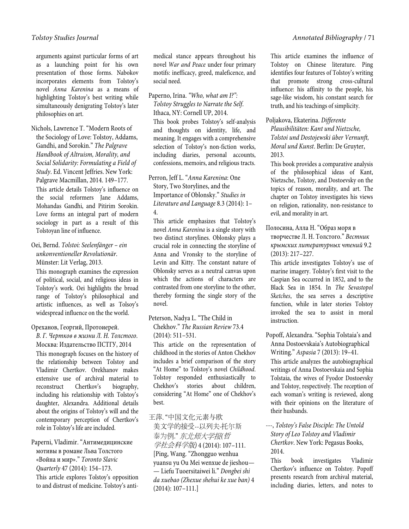arguments against particular forms of art as a launching point for his own presentation of those forms. Nabokov incorporates elements from Tolstoy's novel *Anna Karenina* as a means of highlighting Tolstoy's best writing while simultaneously denigrating Tolstoy's later philosophies on art.

Nichols, Lawrence T. "Modern Roots of the Sociology of Love: Tolstoy, Addams, Gandhi, and Sorokin." *The Palgrave Handbook of Altruism, Morality, and Social Solidarity: Formulating a Field of Study*. Ed. Vincent Jeffries. New York: Palgrave Macmillan, 2014. 149–177. This article details Tolstoy's influence on the social reformers Jane Addams, Mohandas Gandhi, and Pitirim Sorokin. Love forms an integral part of modern sociology in part as a result of this Tolstoyan line of influence.

#### Oei, Bernd. *Tolstoi: Seelenfänger – ein unkonventioneller Revolutionär*. Münster: Lit Verlag, 2013.

This monograph examines the expression of political, social, and religious ideas in Tolstoy's work. Oei highlights the broad range of Tolstoy's philosophical and artistic influences, as well as Tolsoy's widespread influence on the the world.

#### Ореханов, Георгий, Протоиерей.

*В. Г. Чертков в жизни Л. Н. Толстого*. Москва: Издательство ПСТГУ, 2014 This monograph focuses on the history of the relationship between Tolstoy and Vladimir Chertkov. Orekhanov makes extensive use of archival material to reconstruct Chertkov's biography, including his relationship with Tolstoy's daughter, Alexandra. Additional details about the origins of Tolstoy's will and the contemporary perception of Chertkov's role in Tolstoy's life are included.

Paperni, Vladimir. "Антимедицинские мотивы в романе Льва Толстого «Война и мир»." *Toronto Slavic Quarterly* 47 (2014): 154–173. This article explores Tolstoy's opposition to and distrust of medicine. Tolstoy's antimedical stance appears throughout his novel *War and Peace* under four primary motifs: inefficacy, greed, maleficence, and social need.

Paperno, Irina. *"Who, what am I?": Tolstoy Struggles to Narrate the Self*. Ithaca, NY: Cornell UP, 2014.

This book probes Tolstoy's self-analysis and thoughts on identity, life, and meaning. It engages with a comprehensive selection of Tolstoy's non-fiction works, including diaries, personal accounts, confessions, memoirs, and religious tracts.

Perron, Jeff L. "*Anna Karenina*: One Story, Two Storylines, and the Importance of Oblonsky." *Studies in Literature and Language* 8.3 (2014): 1– 4.

This article emphasizes that Tolstoy's novel *Anna Karenina* is a single story with two distinct storylines. Oblonsky plays a crucial role in connecting the storyline of Anna and Vronsky to the storyline of Levin and Kitty. The constant nature of Oblonsky serves as a neutral canvas upon which the actions of characters are contrasted from one storyline to the other, thereby forming the single story of the novel.

#### Peterson, Nadya L. "The Child in Chekhov." *The Russian Review* 73.4 (2014): 511–531.

This article on the representation of childhood in the stories of Anton Chekhov includes a brief comparison of the story "At Home" to Tolstoy's novel *Childhood*. Tolstoy responded enthusiastically to Chekhov's stories about children, considering "At Home" one of Chekhov's best.

## 王萍. "中国文化元素与欧

美文学的接受--以列夫·托尔斯 泰为例." 东北师大学报*(*哲 学社会科学版*)* 4 (2014): 107–111. [Ping, Wang. "Zhongguo wenhua yuansu yu Ou Mei wenxue de jieshou— — Liefu Tuoersitaiwei li." *Dongbei shi da xuebao (Zhexue shehui ke xue ban)* 4 (2014): 107–111.]

This article examines the influence of Tolstoy on Chinese literature. Ping identifies four features of Tolstoy's writing that promote strong cross-cultural influence: his affinity to the people, his sage-like wisdom, his constant search for truth, and his teachings of simplicity.

### Poljakova, Ekaterina. *Differente*

*Plausibilitäten: Kant und Nietzsche, Tolstoi und Dostojewski über Vernunft, Moral und Kunst*. Berlin: De Gruyter, 2013.

This book provides a comparative analysis of the philosophical ideas of Kant, Nietzsche, Tolstoy, and Dostoevsky on the topics of reason, morality, and art. The chapter on Tolstoy investigates his views on religion, rationality, non-resistance to evil, and morality in art.

## Полосина, Алла Н. "Образ моря в творчестве Л. Н. Толстого." *Вестник крымских литературных чтений* 9.2 (2013): 217–227.

This article investigates Tolstoy's use of marine imagery. Tolstoy's first visit to the Caspian Sea occurred in 1852, and to the Black Sea in 1854. In *The Sevastopol Sketches*, the sea serves a descriptive function, while in later stories Tolstoy invoked the sea to assist in moral instruction.

Popoff, Alexandra. "Sophia Tolstaia's and Anna Dostoevskaia's Autobiographical Writing." *Aspasia* 7 (2013): 19–41.

This article analyzes the autobiographical writings of Anna Dostoevskaia and Sophia Tolstaia, the wives of Fyodor Dostoevsky and Tolstoy, respectively. The reception of each woman's writing is reviewed, along with their opinions on the literature of their husbands.

## ---, *Tolstoy's False Disciple: The Untold Story of Leo Tolstoy and Vladimir Chertkov*. New York: Pegasus Books, 2014.

This book investigates Vladimir Chertkov's influence on Tolstoy. Popoff presents research from archival material, including diaries, letters, and notes to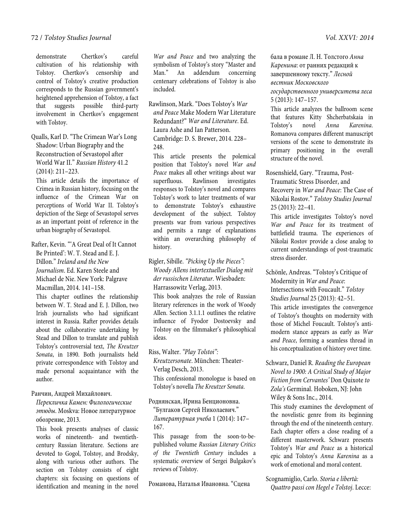demonstrate Chertkov's careful cultivation of his relationship with Tolstoy. Chertkov's censorship and control of Tolstoy's creative production corresponds to the Russian government's heightened apprehension of Tolstoy, a fact that suggests possible third-party involvement in Chertkov's engagement with Tolstoy.

Qualls, Karl D. "The Crimean War's Long Shadow: Urban Biography and the Reconstruction of Sevastopol after World War II." *Russian History* 41.2 (2014): 211–223.

This article details the importance of Crimea in Russian history, focusing on the influence of the Crimean War on perceptions of World War II. Tolstoy's depiction of the Siege of Sevastopol serves as an important point of reference in the urban biography of Sevastopol.

Rafter, Kevin. "'A Great Deal of It Cannot Be Printed': W. T. Stead and E. J. Dillon." *Ireland and the New Journalism*. Ed. Karen Steele and Michael de Nie. New York: Palgrave Macmillan, 2014. 141–158.

This chapter outlines the relationship between W. T. Stead and E. J. Dillon, two Irish journalists who had significant interest in Russia. Rafter provides details about the collaborative undertaking by Stead and Dillon to translate and publish Tolstoy's controversial text, *The Kreutzer Sonata*, in 1890. Both journalists held private correspondence with Tolstoy and made personal acquaintance with the author.

## Ранчин, Андрей Михайлович.

*Перекличка Камен: Филологические этюды*. Moskva: Новое литературное обозрение, 2013.

This book presents analyses of classic works of nineteenth- and twentiethcentury Russian literature. Sections are devoted to Gogol, Tolstoy, and Brodsky, along with various other authors. The section on Tolstoy consists of eight chapters: six focusing on questions of identification and meaning in the novel

*War and Peace* and two analyzing the symbolism of Tolstoy's story "Master and Man." An addendum concerning centenary celebrations of Tolstoy is also included.

Rawlinson, Mark. "Does Tolstoy's *War and Peace* Make Modern War Literature Redundant?" *War and Literature*. Ed. Laura Ashe and Ian Patterson. Cambridge: D. S. Brewer, 2014. 228– 248.

This article presents the polemical position that Tolstoy's novel *War and Peace* makes all other writings about war superfluous. Rawlinson investigates responses to Tolstoy's novel and compares Tolstoy's work to later treatments of war to demonstrate Tolstoy's exhaustive development of the subject. Tolstoy presents war from various perspectives and permits a range of explanations within an overarching philosophy of history.

Rigler, Sibille. *"Picking Up the Pieces": Woody Allens intertextueller Dialog mit der russischen Literatur*. Wiesbaden: Harrassowitz Verlag, 2013.

This book analyzes the role of Russian literary references in the work of Woody Allen. Section 3.1.1.1 outlines the relative influence of Fyodor Dostoevsky and Tolstoy on the filmmaker's philosophical ideas.

Riss, Walter. *"Play Tolstoi":* 

*Kreutzersonate*. München: Theater-Verlag Desch, 2013.

This confessional monologue is based on Tolstoy's novella *The Kreutzer Sonata*.

Роднянская, Ирина Бенционовна. "Булгаков Сергей Николаевич."

*Литературная учеба* 1 (2014): 147– 167.

This passage from the soon-to-bepublished volume *Russian Literary Critics of the Twentieth Century* includes a systematic overview of Sergei Bulgakov's reviews of Tolstoy.

Романова, Наталья Ивановна. "Сцена

бала в романе Л. Н. Толстого *Анна Каренина*: от ранних редакций к завершенному тексту." *Лесной вестник Московского* 

*государственного университета леса* 5 (2013): 147–157.

This article analyzes the ballroom scene that features Kitty Shcherbatskaia in Tolstoy's novel *Anna Karenina*. Romanova compares different manuscript versions of the scene to demonstrate its primary positioning in the overall structure of the novel.

Rosenshield, Gary. "Trauma, Post-Traumatic Stress Disorder, and Recovery in *War and Peace*: The Case of Nikolai Rostov." *Tolstoy Studies Journal*  25 (2013): 22–41.

This article investigates Tolstoy's novel *War and Peace* for its treatment of battlefield trauma. The experiences of Nikolai Rostov provide a close analog to current understandings of post-traumatic stress disorder.

Schönle, Andreas. "Tolstoy's Critique of Modernity in *War and Peace*: Intersections with Foucault." *Tolstoy* 

*Studies Journal* 25 (2013): 42–51.

This article investigates the convergence of Tolstoy's thoughts on modernity with those of Michel Foucault. Tolstoy's antimodern stance appears as early as *War and Peace*, forming a seamless thread in his conceptualization of history over time.

Schwarz, Daniel R. *Reading the European Novel to 1900: A Critical Study of Major Fiction from Cervantes'* Don Quixote *to Zola's* Germinal. Hoboken, NJ: John Wiley & Sons Inc., 2014.

This study examines the development of the novelistic genre from its beginning through the end of the nineteenth century. Each chapter offers a close reading of a different masterwork. Schwarz presents Tolstoy's *War and Peace* as a historical epic and Tolstoy's *Anna Karenina* as a work of emotional and moral content.

Scognamiglio, Carlo. *Storia e libertà: Quattro passi con Hegel e Tolstoj*. Lecce: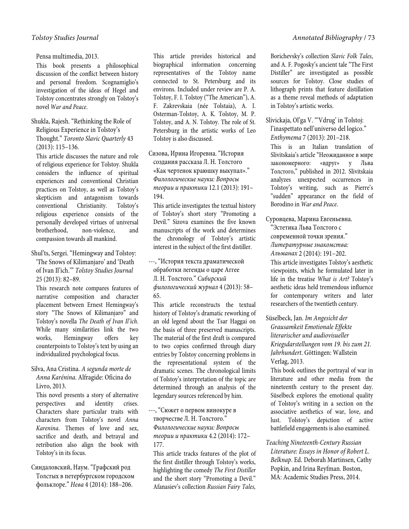Pensa multimedia, 2013.

This book presents a philosophical discussion of the conflict between history and personal freedom. Scognamiglio's investigation of the ideas of Hegel and Tolstoy concentrates strongly on Tolstoy's novel *War and Peace*.

## Shukla, Rajesh. "Rethinking the Role of Religious Experience in Tolstoy's Thought." *Toronto Slavic Quarterly* 43 (2013): 115–136.

This article discusses the nature and role of religious experience for Tolstoy. Shukla considers the influence of spiritual experiences and conventional Christian practices on Tolstoy, as well as Tolstoy's skepticism and antagonism towards conventional Christianity. Tolstoy's religious experience consists of the personally developed virtues of universal brotherhood, non-violence, and compassion towards all mankind.

Shul'ts, Sergei. "Hemingway and Tolstoy: 'The Snows of Kilimanjaro' and 'Death of Ivan Il'ich.'" *Tolstoy Studies Journal*  25 (2013): 82–89.

This research note compares features of narrative composition and character placement between Ernest Hemingway's story "The Snows of Kilimanjaro" and Tolstoy's novella *The Death of Ivan Il'ich*. While many similarities link the two works, Hemingway offers key counterpoints to Tolstoy's text by using an individualized psychological focus.

## Silva, Ana Cristina. *A segunda morte de Anna Karénina*. Alfragide: Oficina do Livro, 2013.

This novel presents a story of alternative perspectives and identity crises. Characters share particular traits with characters from Tolstoy's novel *Anna Karenina*. Themes of love and sex, sacrifice and death, and betrayal and retribution also align the book with Tolstoy's in its focus.

Синдаловский, Наум. "Графский род Толстых в петербургском городском фольклоре." *Нева* 4 (2014): 188–206.

This article provides historical and biographical information concerning representatives of the Tolstoy name connected to St. Petersburg and its environs. Included under review are P. A. Tolstoy, F. I. Tolstoy ("The American"), A. F. Zakrevskaia (née Tolstaia), A. I. Osterman-Tolstoy, A. K. Tolstoy, M. P. Tolstoy, and A. N. Tolstoy. The role of St. Petersburg in the artistic works of Leo Tolstoy is also discussed.

Сизова, Ирина Игоревна. "История создания рассказа Л. Н. Толстого «Как чертенок краюшку выкупал»." *Филологические науки: Вопросы теории и практики* 12.1 (2013): 191– 194.

This article investigates the textual history of Tolstoy's short story "Promoting a Devil." Sizova examines the five known manuscripts of the work and determines the chronology of Tolstoy's artistic interest in the subject of the first distiller.

---, "История текста драматической обработки легенды о царе Аггее Л. Н. Толстого." *Сибирский филологический журнал* 4 (2013): 58– 65.

This article reconstructs the textual history of Tolstoy's dramatic reworking of an old legend about the Tsar Haggai on the basis of three preserved manuscripts. The material of the first draft is compared to two copies confirmed through diary entries by Tolstoy concerning problems in the representational system of the dramatic scenes. The chronological limits of Tolstoy's interpretation of the topic are determined through an analysis of the legendary sources referenced by him.

---, "Сюжет о первом винокуре в творчестве Л. Н. Толстого." *Филологические науки: Вопросы теории и практики* 4.2 (2014): 172– 177.

This article tracks features of the plot of the first distiller through Tolstoy's works, highlighting the comedy *The First Distiller* and the short story "Promoting a Devil." Afanasiev's collection *Russian Fairy Tales,* 

Borichevsky's collection *Slavic Folk Tales*, and A. F. Pogosky's ancient tale "The First Distiller" are investigated as possible sources for Tolstoy. Close studies of lithograph prints that feature distillation as a theme reveal methods of adaptation in Tolstoy's artistic works.

## Slivickaja, Ol'ga V. "'Vdrug' in Tolstoj: l'inaspettato nell'universo del logico." *Enthymema* 7 (2013): 201–218.

This is an Italian translation of Slivitskaia's article "Неожиданное в мире закономерного: «вдруг» у Льва Толстого," published in 2012. Slivitskaia analyzes unexpected occurrences in Tolstoy's writing, such as Pierre's "sudden" appearance on the field of Borodino in *War and Peace*.

Суровцева, Марина Евгеньевна. "Эстетика Льва Толстого с современной точки зрения." *Литературные знакомства: Альманах* 2 (2014): 191–202.

This article investigates Tolstoy's aesthetic viewpoints, which he formulated later in life in the treatise *What is Art?* Tolstoy's aesthetic ideas held tremendous influence for contemporary writers and later researchers of the twentieth century.

Süselbeck, Jan. *Im Angesicht der Grausamkeit Emotionale Effekte literarischer und audiovisueller Kriegsdarstellungen vom 19. bis zum 21. Jahrhundert*. Göttingen: Wallstein Verlag, 2013.

This book outlines the portrayal of war in literature and other media from the nineteenth century to the present day. Süselbeck explores the emotional quality of Tolstoy's writing in a section on the associative aesthetics of war, love, and lust. Tolstoy's depiction of active battlefield engagements is also examined.

*Teaching Nineteenth-Century Russian Literature: Essays in Honor of Robert L. Belknap*. Ed. Deborah Martinsen, Cathy Popkin, and Irina Reyfman. Boston, MA: Academic Studies Press, 2014.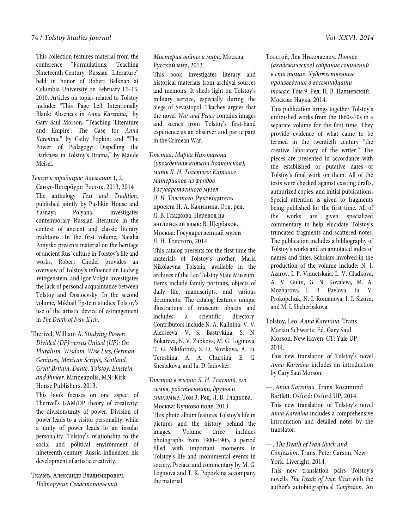This collection features material from the conference "Formulations: Teaching Nineteenth-Century Russian Literature" held in honor of Robert Belknap at Columbia University on February 12–13, 2010. Articles on topics related to Tolstoy include: "This Page Left Intentionally Blank: Absences in *Anna Karenina*," by Gary Saul Morson; "Teaching 'Literature and Empire': The Case for *Anna Karenina*," by Cathy Popkin; and "The Power of Pedagogy: Dispelling the Darkness in Tolstoy's Drama," by Maude Meisel.

*Текст и традиция: Альманах* 1, 2.

Санкт-Петербург: Росток, 2013, 2014 The anthology *Text and Tradition*, published jointly by Pushkin House and Yasnaya Polyana, investigates contemporary Russian literature in the context of ancient and classic literary traditions. In the first volume, Natalia Ponyrko presents material on the heritage of ancient Rus' culture in Tolstoy's life and works, Robert Chodel provides an overview of Tolstoy's influence on Ludwig Wittgenstein, and Igor Volgin investigates the lack of personal acquaintance between Tolstoy and Dostoevsky. In the second volume, Mikhail Epstein studies Tolstoy's use of the artistic device of estrangement in *The Death of Ivan Il'ich*.

Therivel, William A. *Studying Power: Divided (DP) versus United (UP): On Pluralism, Wisdom, Wise Lies, German Geniuses, Mexican Scripts, Scotland, Great Britain, Dante, Tolstoy, Einstein, and Pinker*. Minneapolis, MN: Kirk House Publishers, 2013.

This book focuses on one aspect of Therivel's GAM/DP theory of creativity: the division/unity of power. Division of power leads to a visitor personality, while a unity of power leads to an insular personality. Tolstoy's relationship to the social and political environment of nineteenth-century Russia influenced his development of artistic creativity.

Ткачёв, Александр Владимирович. *Подпоручик Севастопольский:* 

*Мистерия войны и мира*. Москва: Русский мир, 2013.

This book investigates literary and historical materials from archival sources and memoirs. It sheds light on Tolstoy's military service, especially during the Siege of Sevastopol. Tkachev argues that the novel *War and Peace* contains images and scenes from Tolstoy's first-hand experience as an observer and participant in the Crimean War.

*Толстая, Мария Николаевна (урожденная княжна Волконская), мать Л. Н. Толстого: Каталог материалов из фондов Государственного музея Л. Н. Толстого*. Руководитель проекта Н. А. Калинина. Отв. ред. Л. В. Гладкова. Перевод на английский язык: В. Щербаков. Москва: Государственный музей Л. Н. Толстого, 2014.

This catalog presents for the first time the materials of Tolstoy's mother, Maria Nikolaevna Tolstaia, available in the archives of the Leo Tolstoy State Museum. Items include family portraits, objects of daily life, manuscripts, and various documents. The catalog features unique illustrations of museum objects and includes a scientific directory. Contributors include N. A. Kalinina, V. V. Alekseeva, V. S. Bastrykina, S. N. Bokareva, N. V. Zubkova, M. G. Loginova, T. G. Nikiforova, S. D. Novikova, A. Iu. Tereshina, A. A. Chursina, E. G. Shestakova, and Iu. D. Iadovker.

*Толстой в жизни: Л. Н. Толстой, его семья, родственники, друзья и знакомые*. Том 3. Ред. Л. В. Гладкова. Москва: Кучково поле, 2013. This photo album features Tolstoy's life in pictures and the history behind the<br>images. Volume three includes images. Volume three includes photographs from 1900–1905, a period filled with important moments in Tolstoy's life and monumental events in society. Preface and commentary by M. G. Loginova and T. K. Popovkina accompany the material.

Толстой, Лев Николаевич. *Полное (академическое) собрание сочинений в ста томах. Художественные произведения в восемнадцати томах*. Том 9. Ред. П. В. Палиевский. Москва: Наука, 2014.

This publication brings together Tolstoy's unfinished works from the 1860s-70s in a separate volume for the first time. They provide evidence of what came to be termed in the twentieth century "the creative laboratory of the writer." The pieces are presented in accordance with the established or putative dates of Tolstoy's final work on them. All of the texts were checked against existing drafts, authorized copies, and initial publications. Special attention is given to fragments being published for the first time. All of the works are given specialized commentary to help elucidate Tolstoy's truncated fragments and scattered notes. The publication includes a bibliography of Tolstoy's works and an annotated index of names and titles. Scholars involved in the production of the volume include: N. I. Azarov, I. P. Viduetskaia, L. V. Gladkova, A. V. Gulin, G. N. Kovaleva, M. A. Mozharova, I. B. Pavlova, Iu. V. Prokopchuk, N. I. Romanova, I. I. Sizova, and M. I. Shcherbakova.

Tolstoy, Leo. *Anna Karenina*. Trans. Marian Schwartz. Ed. Gary Saul Morson. New Haven, CT: Yale UP, 2014.

This new translation of Tolstoy's novel *Anna Karenina* includes an introduction by Gary Saul Morson.

---, *Anna Karenina*. Trans. Rosamund Bartlett. Oxford: Oxford UP, 2014. This new translation of Tolstoy's novel *Anna Karenina* includes a comprehensive introduction and detailed notes by the translator.

---, *The Death of Ivan Ilyich and Confession*. Trans. Peter Carson. New York: Liveright, 2014.

This new translation pairs Tolstoy's novella *The Death of Ivan Il'ich* with the author's autobiographical *Confession*. An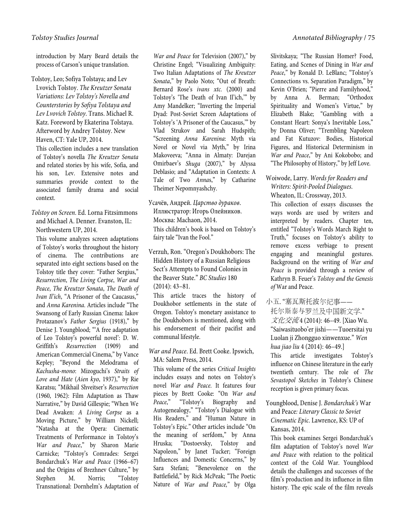introduction by Mary Beard details the process of Carson's unique translation.

Tolstoy, Leo; Sofiya Tolstaya; and Lev Lvovich Tolstoy. *The Kreutzer Sonata Variations: Lev Tolstoy's Novella and Counterstories by Sofiya Tolstaya and Lev Lvovich Tolstoy*. Trans. Michael R. Katz. Foreword by Ekaterina Tolstaya. Afterword by Andrey Tolstoy. New Haven, CT: Yale UP, 2014.

This collection includes a new translation of Tolstoy's novella *The Kreutzer Sonata* and related stories by his wife, Sofia, and his son, Lev. Extensive notes and summaries provide context to the associated family drama and social context.

*Tolstoy on Screen*. Ed. Lorna Fitzsimmons and Michael A. Denner. Evanston, IL: Northwestern UP, 2014.

This volume analyzes screen adaptations of Tolstoy's works throughout the history of cinema. The contributions are separated into eight sections based on the Tolstoy title they cover: "Father Sergius," *Resurrection*, *The Living Corpse*, *War and Peace*, *The Kreutzer Sonata*, *The Death of Ivan Il'ich*, "A Prisoner of the Caucasus," and *Anna Karenina*. Articles include "The Swansong of Early Russian Cinema: Iakov Protazanov's *Father Sergius* (1918)," by Denise J. Youngblood; "'A free adaptation of Leo Tolstoy's powerful novel': D. W. Griffith's *Resurrection* (1909) and American Commercial Cinema," by Vance Kepley; "Beyond the Melodrama of *Kachusha-mono*: Mizoguchi's *Straits of Love and Hate* (*Aien kyo*, 1937)," by Rie Karatsu; "Mikhail Shveitser's *Resurrection* (1960, 1962): Film Adaptation as Thaw Narrative," by David Gillespie; "When We Dead Awaken: *A Living Corpse* as a Moving Picture," by William Nickell; "Natasha at the Opera: Cinematic Treatments of Performance in Tolstoy's *War and Peace*," by Sharon Marie Carnicke; "Tolstoy's Comrades: Sergei Bondarchuk's *War and Peace* (1966–67) and the Origins of Brezhnev Culture," by Stephen M. Norris; "Tolstoy Transnational: Dornhelm's Adaptation of

*War and Peace* for Television (2007)," by Christine Engel; "Visualizing Ambiguity: Two Italian Adaptations of *The Kreutzer Sonata*," by Paolo Noto; "Out of Breath: Bernard Rose's *ivans xtc.* (2000) and Tolstoy's 'The Death of Ivan Il'ich,'" by Amy Mandelker; "Inverting the Imperial Dyad: Post-Soviet Screen Adaptations of Tolstoy's 'A Prisoner of the Caucasus,'" by Vlad Strukov and Sarah Hudspith; "Screening *Anna Karenina*: Myth via Novel or Novel via Myth," by Irina Makoveeva; "Anna in Almaty: Darejan Omirbaev's *Shuga* (2007)," by Alyssa Deblasio; and "Adaptation in Contexts: A Tale of Two *Anna*s," by Catharine Theimer Nepomnyashchy.

- Усачёв, Андрей. *Царство дураков*. Иллюстратор: Игорь Олейников. Москва: Machaon, 2014. This children's book is based on Tolstoy's fairy tale "Ivan the Fool."
- Verzuh, Ron. "Oregon's Doukhobors: The Hidden History of a Russian Religious Sect's Attempts to Found Colonies in the Beaver State." *BC Studies* 180 (2014): 43–81.

This article traces the history of Doukhobor settlements in the state of Oregon. Tolstoy's monetary assistance to the Doukhobors is mentioned, along with his endorsement of their pacifist and communal lifestyle.

*War and Peace*. Ed. Brett Cooke. Ipswich, MA: Salem Press, 2014.

This volume of the series *Critical Insights* includes essays and notes on Tolstoy's novel *War and Peace*. It features four pieces by Brett Cooke: "On *War and Peace*," "Tolstoy's Biography and Autogenealogy," "Tolstoy's Dialogue with His Readers," and "Human Nature in Tolstoy's Epic." Other articles include "On the meaning of serfdom," by Anna Hruska; "Dostoevsky, Tolstoy and Napoleon," by Janet Tucker; "Foreign Influences and Domestic Concerns," by Sara Stefani; "Benevolence on the Battlefield," by Rick McPeak; "The Poetic Nature of *War and Peace,*" by Olga Slivitskaya; "The Russian Homer? Food, Eating, and Scenes of Dining in *War and Peace*," by Ronald D. LeBlanc; "Tolstoy's Connections vs. Separation Paradigm," by Kevin O'Brien; "Pierre and Familyhood," by Anna A. Berman; "Orthodox Spirituality and Women's Virtue," by Elizabeth Blake; "Gambling with a Constant Heart: Sonya's Inevitable Loss," by Donna Oliver; "Trembling Napoleon and Fat Kutuzov: Bodies, Historical Figures, and Historical Determinism in *War and Peace*," by Ani Kokobobo; and "The Philosophy of History," by Jeff Love.

Woiwode, Larry. *Words for Readers and Writers: Spirit-Pooled Dialogues*. Wheaton, IL: Crossway, 2013.

This collection of essays discusses the ways words are used by writers and interpreted by readers. Chapter ten, entitled "Tolstoy's Words March Right to Truth," focuses on Tolstoy's ability to remove excess verbiage to present engaging and meaningful gestures. Background on the writing of *War and Peace* is provided through a review of Kathryn B. Feuer's *Tolstoy and the Genesis of* War and Peace.

- 小五. "塞瓦斯托波尔纪事—— 托尔斯泰与罗兰及中国新文学." 文化交流4 (2014): 46-49. [Xiao Wu. "Saiwasituobo'er jishi——Tuoersitai yu Luolan ji Zhongguo xinwenxue." *Wen hua jiao liu* 4 (2014): 46–49.] This article investigates Tolstoy's influence on Chinese literature in the early twentieth century. The role of *The Sevastopol Sketches* in Tolstoy's Chinese reception is given primary focus.
- Youngblood, Denise J. *Bondarchuk's* War and Peace*: Literary Classic to Soviet Cinematic Epic*. Lawrence, KS: UP of Kansas, 2014.

This book examines Sergei Bondarchuk's film adaptation of Tolstoy's novel *War and Peace* with relation to the political context of the Cold War. Youngblood details the challenges and successes of the film's production and its influence in film history. The epic scale of the film reveals